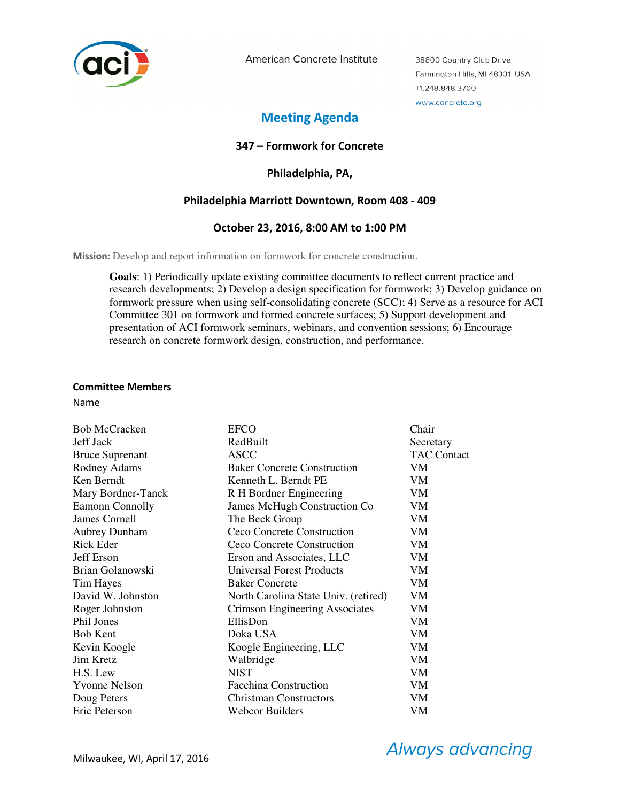

American Concrete Institute

38800 Country Club Drive Farmington Hills, MI 48331 USA +1.248.848.3700 www.concrete.org

# **Meeting Agenda**

# **347 – Formwork for Concrete**

**Philadelphia, PA,** 

# **Philadelphia Marriott Downtown, Room 408 - 409**

# **October 23, 2016, 8:00 AM to 1:00 PM**

**Mission:** Develop and report information on formwork for concrete construction.

**Goals**: 1) Periodically update existing committee documents to reflect current practice and research developments; 2) Develop a design specification for formwork; 3) Develop guidance on formwork pressure when using self-consolidating concrete (SCC); 4) Serve as a resource for ACI Committee 301 on formwork and formed concrete surfaces; 5) Support development and presentation of ACI formwork seminars, webinars, and convention sessions; 6) Encourage research on concrete formwork design, construction, and performance.

#### **Committee Members**

Name

| <b>Bob McCracken</b>   | <b>EFCO</b>                          | Chair              |
|------------------------|--------------------------------------|--------------------|
| <b>Jeff Jack</b>       | RedBuilt                             | Secretary          |
| <b>Bruce Suprenant</b> | <b>ASCC</b>                          | <b>TAC Contact</b> |
| Rodney Adams           | <b>Baker Concrete Construction</b>   | VM                 |
| Ken Berndt             | Kenneth L. Berndt PE                 | VM                 |
| Mary Bordner-Tanck     | R H Bordner Engineering              | VM                 |
| <b>Eamonn Connolly</b> | James McHugh Construction Co         | VM                 |
| James Cornell          | The Beck Group                       | VM                 |
| <b>Aubrey Dunham</b>   | Ceco Concrete Construction           | VM                 |
| Rick Eder              | Ceco Concrete Construction           | VM                 |
| Jeff Erson             | Erson and Associates, LLC            | VM                 |
| Brian Golanowski       | <b>Universal Forest Products</b>     | VM                 |
| <b>Tim Hayes</b>       | <b>Baker Concrete</b>                | VM                 |
| David W. Johnston      | North Carolina State Univ. (retired) | VM                 |
| Roger Johnston         | Crimson Engineering Associates       | VM                 |
| Phil Jones             | EllisDon                             | VM                 |
| <b>Bob Kent</b>        | Doka USA                             | VM                 |
| Kevin Koogle           | Koogle Engineering, LLC              | VM                 |
| <b>Jim Kretz</b>       | Walbridge                            | VM                 |
| H.S. Lew               | <b>NIST</b>                          | VM                 |
| <b>Yvonne Nelson</b>   | <b>Facchina Construction</b>         | VM                 |
| Doug Peters            | <b>Christman Constructors</b>        | VM                 |
| Eric Peterson          | Webcor Builders                      | VM                 |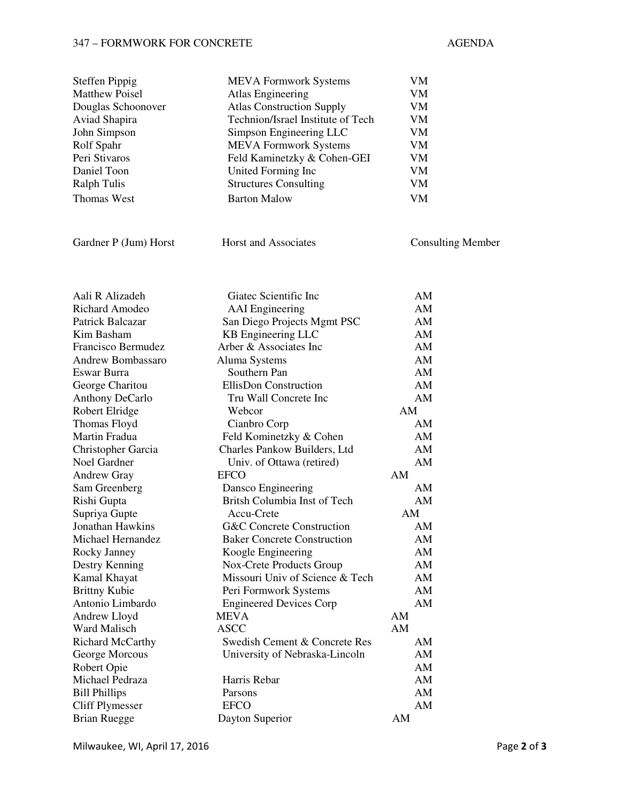## 347 – FORMWORK FOR CONCRETE AGENDA

| <b>Steffen Pippig</b>   | <b>MEVA Formwork Systems</b>       | VM                       |
|-------------------------|------------------------------------|--------------------------|
| <b>Matthew Poisel</b>   | <b>Atlas Engineering</b>           | VM                       |
| Douglas Schoonover      | <b>Atlas Construction Supply</b>   | VM                       |
| Aviad Shapira           | Technion/Israel Institute of Tech  | VM                       |
| John Simpson            | Simpson Engineering LLC            | VM                       |
| Rolf Spahr              | <b>MEVA Formwork Systems</b>       | VM                       |
| Peri Stivaros           | Feld Kaminetzky & Cohen-GEI        | VM                       |
| Daniel Toon             | United Forming Inc                 | VM                       |
| <b>Ralph Tulis</b>      | <b>Structures Consulting</b>       | VM                       |
| <b>Thomas West</b>      | <b>Barton Malow</b>                | <b>VM</b>                |
|                         |                                    |                          |
| Gardner P (Jum) Horst   | Horst and Associates               | <b>Consulting Member</b> |
| Aali R Alizadeh         | Giatec Scientific Inc              | AM                       |
| <b>Richard Amodeo</b>   | <b>AAI</b> Engineering             | AM                       |
| Patrick Balcazar        | San Diego Projects Mgmt PSC        | AM                       |
| Kim Basham              | KB Engineering LLC                 | AM                       |
| Francisco Bermudez      | Arber & Associates Inc             | AM                       |
| Andrew Bombassaro       | Aluma Systems                      | AM                       |
| Eswar Burra             | Southern Pan                       | AM                       |
| George Charitou         | EllisDon Construction              | AM                       |
| <b>Anthony DeCarlo</b>  | Tru Wall Concrete Inc              | AM                       |
| Robert Elridge          | Webcor                             | AM                       |
| Thomas Floyd            | Cianbro Corp                       | AM                       |
| Martin Fradua           | Feld Kominetzky & Cohen            | AM                       |
| Christopher Garcia      | Charles Pankow Builders, Ltd       | AM                       |
| Noel Gardner            | Univ. of Ottawa (retired)          | AM                       |
| <b>Andrew Gray</b>      | <b>EFCO</b>                        | AM                       |
| Sam Greenberg           | Dansco Engineering                 | AM                       |
| Rishi Gupta             | Britsh Columbia Inst of Tech       | AM                       |
| Supriya Gupte           | Accu-Crete                         | AM                       |
| Jonathan Hawkins        | G&C Concrete Construction          | AM                       |
| Michael Hernandez       | <b>Baker Concrete Construction</b> | AM                       |
| Rocky Janney            | Koogle Engineering                 | AM                       |
| Destry Kenning          | Nox-Crete Products Group           | AM                       |
| Kamal Khayat            | Missouri Univ of Science & Tech    | AM                       |
| <b>Brittny Kubie</b>    | Peri Formwork Systems              | AM                       |
| Antonio Limbardo        | <b>Engineered Devices Corp</b>     | AM                       |
| Andrew Lloyd            | MEVA                               | AM                       |
| Ward Malisch            | <b>ASCC</b>                        | AM                       |
| <b>Richard McCarthy</b> | Swedish Cement & Concrete Res      | AM                       |
| George Morcous          | University of Nebraska-Lincoln     | AM                       |
| Robert Opie             |                                    | AM                       |
| Michael Pedraza         | Harris Rebar                       | AM                       |
| <b>Bill Phillips</b>    | Parsons                            | AM                       |
| <b>Cliff Plymesser</b>  | <b>EFCO</b>                        | AM                       |

Brian Ruegge Dayton Superior AM